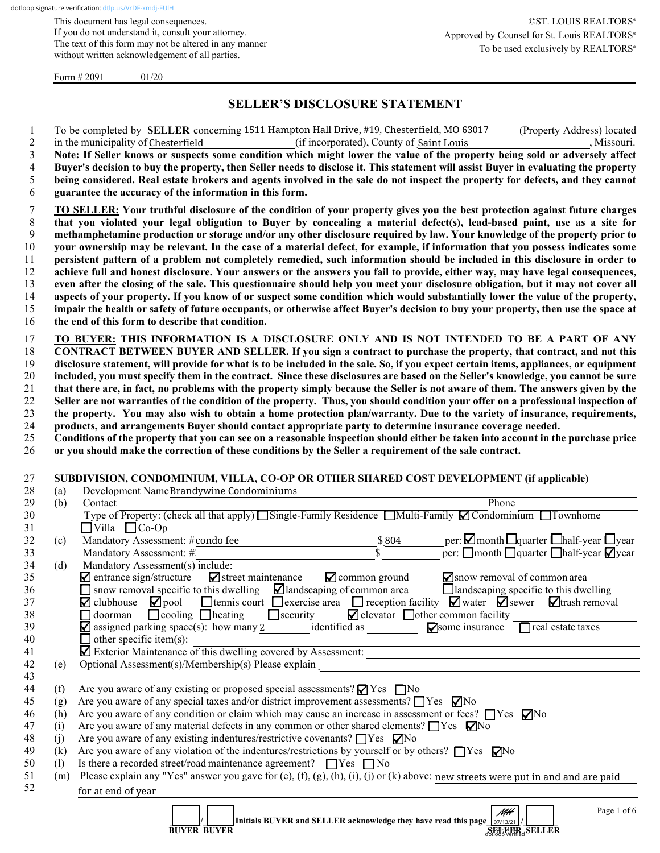This document has legal consequences. If you do not understand it, consult your attorney. The text of this form may not be altered in any manner without written acknowledgement of all parties.

Form  $\# 2091$  01/20

# **SELLER'S DISCLOSURE STATEMENT**

|                | To be completed by <b>SELLER</b> concerning 1511 Hampton Hall Drive, #19, Chesterfield, MO 63017<br>(Property Address) located      |
|----------------|-------------------------------------------------------------------------------------------------------------------------------------|
| 2              | , Missouri.<br>in the municipality of Chesterfield<br>(if incorporated). County of Saint Louis                                      |
| 3              | Note: If Seller knows or suspects some condition which might lower the value of the property being sold or adversely affect         |
| $\overline{4}$ | Buyer's decision to buy the property, then Seller needs to disclose it. This statement will assist Buyer in evaluating the property |
| 5              | being considered. Real estate brokers and agents involved in the sale do not inspect the property for defects, and they cannot      |
| 6              | guarantee the accuracy of the information in this form.                                                                             |
|                | TO SELLER: Your truthful disclosure of the condition of your property gives you the best protection against future charges          |
| 8              | that you violated your legal obligation to Buyer by concealing a material defect(s), lead-based paint, use as a site for            |
| 9              | methamphetamine production or storage and/or any other disclosure required by law. Your knowledge of the property prior to          |
| 10             | your ownership may be relevant. In the case of a material defect, for example, if information that you possess indicates some       |
| 11             | persistent pattern of a problem not completely remedied, such information should be included in this disclosure in order to         |
| 12             | achieve full and honest disclosure. Your answers or the answers you fail to provide, either way, may have legal consequences,       |
| 13             | even after the closing of the sale. This questionnaire should help you meet your disclosure obligation, but it may not cover all    |
| 14             | aspects of your property. If you know of or suspect some condition which would substantially lower the value of the property,       |
| 15             | impair the health or safety of future occupants, or otherwise affect Buyer's decision to buy your property, then use the space at   |
| 16             | the end of this form to describe that condition.                                                                                    |

 **TO BUYER: THIS INFORMATION IS A DISCLOSURE ONLY AND IS NOT INTENDED TO BE A PART OF ANY CONTRACT BETWEEN BUYER AND SELLER. If you sign a contract to purchase the property, that contract, and not this disclosure statement, will provide for what is to be included in the sale. So, if you expect certain items, appliances, or equipment included, you must specify them in the contract. Since these disclosures are based on the Seller's knowledge, you cannot be sure that there are, in fact, no problems with the property simply because the Seller is not aware of them. The answers given by the Seller are not warranties of the condition of the property. Thus, you should condition your offer on a professional inspection of the property. You may also wish to obtain a home protection plan/warranty. Due to the variety of insurance, requirements, products, and arrangements Buyer should contact appropriate party to determine insurance coverage needed.**

25 **Conditions of the property that you can see on a reasonable inspection should either be taken into account in the purchase price**  26 **or you should make the correction of these conditions by the Seller a requirement of the sale contract.**

#### 27 **SUBDIVISION, CONDOMINIUM, VILLA, CO-OP OR OTHER SHARED COST DEVELOPMENT (if applicable)**

| 28 | (a) | Development Name Brandywine Condominiums                                                                                                                |  |  |  |
|----|-----|---------------------------------------------------------------------------------------------------------------------------------------------------------|--|--|--|
| 29 | (b) | Contact<br>Phone                                                                                                                                        |  |  |  |
| 30 |     | Type of Property: (check all that apply) Single-Family Residence Multi-Family <i>C</i> ondominium Townhome                                              |  |  |  |
| 31 |     | $\Box$ Villa $\Box$ Co-Op                                                                                                                               |  |  |  |
| 32 | (c) | per: $\Box$ month $\Box$ quarter $\Box$ half-year $\Box$ year<br>Mandatory Assessment: #condo fee<br>\$804                                              |  |  |  |
| 33 |     | per: $\Box$ month $\Box$ quarter $\Box$ half-year $\nabla$ year<br>Mandatory Assessment: #                                                              |  |  |  |
| 34 | (d) | Mandatory Assessment(s) include:                                                                                                                        |  |  |  |
| 35 |     | $\blacksquare$ entrance sign/structure $\blacksquare$ street maintenance<br>$\blacktriangleright$ common ground<br>$\sum$ snow removal of common area   |  |  |  |
| 36 |     | $\Box$ snow removal specific to this dwelling $\Box$ landscaping of common area<br>$\Box$ landscaping specific to this dwelling                         |  |  |  |
| 37 |     | $\Box$ clubhouse $\Box$ pool $\Box$ tennis court $\Box$ exercise area $\Box$ reception facility $\Box$ water $\Box$ sewer $\Box$ trash removal          |  |  |  |
| 38 |     | $\Box$ doorman $\Box$ cooling $\Box$ heating $\Box$ security $\Box$ elevator $\Box$ other common facility                                               |  |  |  |
| 39 |     | $\blacksquare$ assigned parking space(s): how many 2 identified as<br>real estate taxes<br>$\nabla$ some insurance                                      |  |  |  |
| 40 |     | $\Box$ other specific item(s):                                                                                                                          |  |  |  |
| 41 |     | Exterior Maintenance of this dwelling covered by Assessment:                                                                                            |  |  |  |
| 42 | (e) | Optional Assessment(s)/Membership(s) Please explain                                                                                                     |  |  |  |
| 43 |     |                                                                                                                                                         |  |  |  |
| 44 | (f) | Are you aware of any existing or proposed special assessments? $\blacksquare$ Yes $\blacksquare$ No                                                     |  |  |  |
| 45 | (g) | Are you aware of any special taxes and/or district improvement assessments? $\Box$ Yes $\nabla$ No                                                      |  |  |  |
| 46 | (h) | Are you aware of any condition or claim which may cause an increase in assessment or fees? $\Box$ Yes $\nabla$ No                                       |  |  |  |
| 47 | (i) | Are you aware of any material defects in any common or other shared elements? $\Box$ Yes $\Box$ No                                                      |  |  |  |
| 48 | (i) | Are you aware of any existing indentures/restrictive covenants? $\Box$ Yes $\nabla$ No                                                                  |  |  |  |
| 49 | (k) | Are you aware of any violation of the indentures/restrictions by yourself or by others? $\Box$ Yes $\nabla$ No                                          |  |  |  |
| 50 | (1) | Is there a recorded street/road maintenance agreement? $\Box$ Yes $\Box$ No                                                                             |  |  |  |
| 51 | (m) | Please explain any "Yes" answer you gave for (e), (f), (g), (h), (i), (j) or (k) above: new streets were put in and and are paid                        |  |  |  |
| 52 |     | for at end of year                                                                                                                                      |  |  |  |
|    |     |                                                                                                                                                         |  |  |  |
|    |     | Page 1 of 6<br>NH <del>1</del><br>Initials BUYER and SELLER acknowledge they have read this page 07/13/21<br><b>SELLER</b> SELLER<br><b>BUYER BUYER</b> |  |  |  |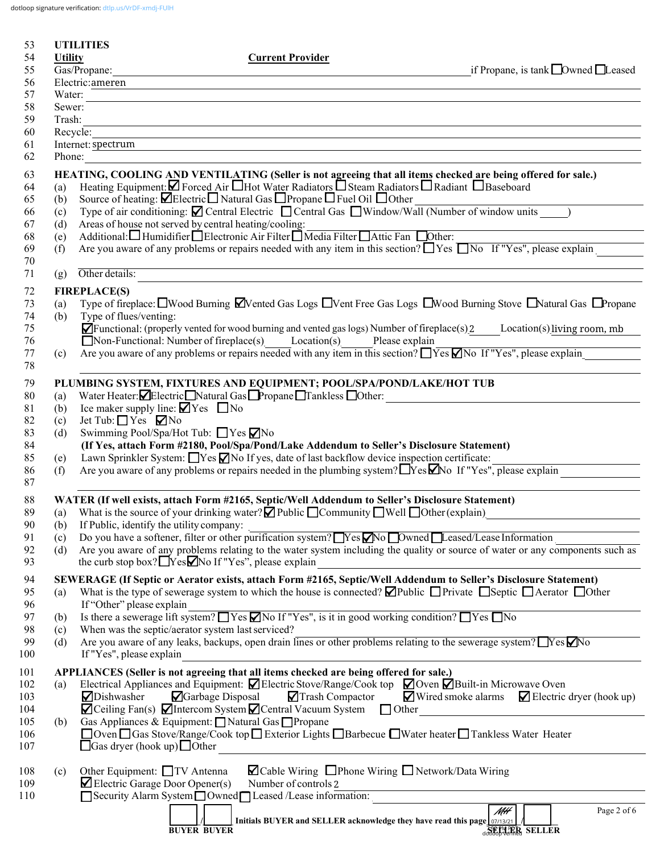dotloop signature verification: [dtlp.us/VrDF-xmdj-FUlH](https://dtlp.us/VrDF-xmdj-FUlH)

| 53  |                | <b>UTILITIES</b>                |                                                                                                                                                     |                                                                           |
|-----|----------------|---------------------------------|-----------------------------------------------------------------------------------------------------------------------------------------------------|---------------------------------------------------------------------------|
| 54  | <b>Utility</b> |                                 | <b>Current Provider</b>                                                                                                                             |                                                                           |
| 55  |                | Gas/Propane:                    |                                                                                                                                                     | if Propane, is tank $\Box$ Owned $\Box$ Leased                            |
| 56  |                | Electric:ameren                 |                                                                                                                                                     |                                                                           |
| 57  | Water:         |                                 |                                                                                                                                                     |                                                                           |
| 58  | Sewer:         |                                 |                                                                                                                                                     |                                                                           |
| 59  | Trash:         |                                 |                                                                                                                                                     |                                                                           |
| 60  |                | Recycle:                        |                                                                                                                                                     |                                                                           |
| 61  |                | Internet: spectrum              |                                                                                                                                                     |                                                                           |
| 62  | Phone:         |                                 |                                                                                                                                                     |                                                                           |
| 63  |                |                                 | HEATING, COOLING AND VENTILATING (Seller is not agreeing that all items checked are being offered for sale.)                                        |                                                                           |
| 64  | (a)            |                                 | Heating Equipment: Ø Forced Air Hot Water Radiators O Steam Radiators O Radiant O Baseboard                                                         |                                                                           |
| 65  | (b)            |                                 | Source of heating: <b>ØElectric</b> Natural Gas <b>□</b> Propane □ Fuel Oil □ Other                                                                 |                                                                           |
| 66  | (c)            |                                 | Type of air conditioning: $\Box$ Central Electric $\Box$ Central Gas $\Box$ Window/Wall (Number of window units )                                   |                                                                           |
| 67  | (d)            |                                 | Areas of house not served by central heating/cooling:                                                                                               |                                                                           |
| 68  | (e)            |                                 | Additional: Humidifier Electronic Air Filter Media Filter Attic Fan Dother:                                                                         |                                                                           |
| 69  | (f)            |                                 | Are you aware of any problems or repairs needed with any item in this section? $\Box$ Yes $\Box$ No If "Yes", please explain                        |                                                                           |
| 70  |                |                                 |                                                                                                                                                     |                                                                           |
| 71  | (g)            | Other details:                  |                                                                                                                                                     |                                                                           |
| 72  |                | <b>FIREPLACE(S)</b>             |                                                                                                                                                     |                                                                           |
| 73  | (a)            |                                 | Type of fireplace: $\Box$ Wood Burning $\Box$ Vented Gas Logs $\Box$ Vent Free Gas Logs $\Box$ Wood Burning Stove $\Box$ Natural Gas $\Box$ Propane |                                                                           |
| 74  | (b)            | Type of flues/venting:          |                                                                                                                                                     |                                                                           |
| 75  |                |                                 | $\blacksquare$ Functional: (properly vented for wood burning and vented gas logs) Number of fireplace(s) 2 Location(s) living room, mb              |                                                                           |
| 76  |                |                                 | Non-Functional: Number of fireplace(s) Location(s) Please explain                                                                                   |                                                                           |
| 77  | (c)            |                                 | Are you aware of any problems or repairs needed with any item in this section? $\Box$ Yes $\Box$ No If "Yes", please explain                        |                                                                           |
| 78  |                |                                 |                                                                                                                                                     |                                                                           |
| 79  |                |                                 | PLUMBING SYSTEM, FIXTURES AND EQUIPMENT; POOL/SPA/POND/LAKE/HOT TUB                                                                                 |                                                                           |
| 80  | (a)            |                                 | Water Heater: Electric Natural Gas Propane Tankless Other:                                                                                          |                                                                           |
| 81  | (b)            |                                 | Ice maker supply line: $\blacksquare$ Yes $\blacksquare$ No                                                                                         |                                                                           |
| 82  | (c)            | Jet Tub: $\Box$ Yes $\nabla$ No |                                                                                                                                                     |                                                                           |
| 83  | (d)            |                                 | Swimming Pool/Spa/Hot Tub: $\Box$ Yes $\nabla$ No                                                                                                   |                                                                           |
| 84  |                |                                 | (If Yes, attach Form #2180, Pool/Spa/Pond/Lake Addendum to Seller's Disclosure Statement)                                                           |                                                                           |
| 85  | (e)            |                                 | Lawn Sprinkler System: $\Box$ Yes $\Box$ No If yes, date of last backflow device inspection certificate:                                            |                                                                           |
| 86  | (f)            |                                 | Are you aware of any problems or repairs needed in the plumbing system? TYes Mo If "Yes", please explain                                            |                                                                           |
| 87  |                |                                 |                                                                                                                                                     |                                                                           |
| 88  |                |                                 | WATER (If well exists, attach Form #2165, Septic/Well Addendum to Seller's Disclosure Statement)                                                    |                                                                           |
| 89  | (a)            |                                 | What is the source of your drinking water? $\blacksquare$ Public $\blacksquare$ Community $\blacksquare$ Well $\blacksquare$ Other (explain)        |                                                                           |
| 90  | (b)            |                                 | If Public, identify the utility company:                                                                                                            |                                                                           |
| 91  | (c)            |                                 | Do you have a softener, filter or other purification system? $\Box$ Yes $\Box$ No $\Box$ Owned $\Box$ Leased/Lease Information                      |                                                                           |
| 92  | (d)            |                                 | Are you aware of any problems relating to the water system including the quality or source of water or any components such as                       |                                                                           |
| 93  |                |                                 | the curb stop box? $\Box$ Yes $\Box$ No If "Yes", please explain                                                                                    |                                                                           |
| 94  |                |                                 | SEWERAGE (If Septic or Aerator exists, attach Form #2165, Septic/Well Addendum to Seller's Disclosure Statement)                                    |                                                                           |
| 95  | (a)            |                                 | What is the type of sewerage system to which the house is connected? $\Box$ Public $\Box$ Private $\Box$ Septic $\Box$ Aerator $\Box$ Other         |                                                                           |
| 96  |                | If "Other" please explain       |                                                                                                                                                     |                                                                           |
| 97  | (b)            |                                 | Is there a sewerage lift system? $\Box$ Yes $\Box$ No If "Yes", is it in good working condition? $\Box$ Yes $\Box$ No                               |                                                                           |
| 98  | (c)            |                                 | When was the septic/aerator system last serviced?                                                                                                   |                                                                           |
| 99  | (d)            |                                 | Are you aware of any leaks, backups, open drain lines or other problems relating to the sewerage system? TYes No                                    |                                                                           |
| 100 |                | If "Yes", please explain        |                                                                                                                                                     |                                                                           |
| 101 |                |                                 | APPLIANCES (Seller is not agreeing that all items checked are being offered for sale.)                                                              |                                                                           |
| 102 | (a)            |                                 | Electrical Appliances and Equipment: $\Box$ Electric Stove/Range/Cook top $\Box$ Oven $\Box$ Built-in Microwave Oven                                |                                                                           |
| 103 |                | ⊿Dishwasher                     | Garbage Disposal<br>Trash Compactor                                                                                                                 | $\blacksquare$ Wired smoke alarms $\blacksquare$ Electric dryer (hook up) |
| 104 |                |                                 | $\blacksquare$ Ceiling Fan(s) $\blacksquare$ Intercom System $\blacksquare$ Central Vacuum System $\blacksquare$ Other                              |                                                                           |
| 105 | (b)            |                                 | Gas Appliances & Equipment: Natural Gas Propane                                                                                                     |                                                                           |
| 106 |                |                                 | □ Oven □ Gas Stove/Range/Cook top □ Exterior Lights □ Barbecue □ Water heater □ Tankless Water Heater                                               |                                                                           |
| 107 |                |                                 | $\Box$ Gas dryer (hook up) $\Box$ Other                                                                                                             |                                                                           |
|     |                |                                 |                                                                                                                                                     |                                                                           |
| 108 | (c)            |                                 | $\Box$ Cable Wiring $\Box$ Phone Wiring $\Box$ Network/Data Wiring<br>Other Equipment: □ TV Antenna                                                 |                                                                           |
| 109 |                |                                 | Number of controls 2<br>$\blacktriangleright$ Electric Garage Door Opener(s)                                                                        |                                                                           |
| 110 |                |                                 | Security Alarm System Owned Leased /Lease information:                                                                                              |                                                                           |
|     |                |                                 | Initials BUYER and SELLER acknowledge they have read this page $\sqrt{0.013421}$                                                                    | $\overline{\mathcal{M}\mathcal{H}}$<br>Page 2 of 6                        |
|     |                |                                 | <b>BUYER BUYER</b>                                                                                                                                  | doubletter SELLER                                                         |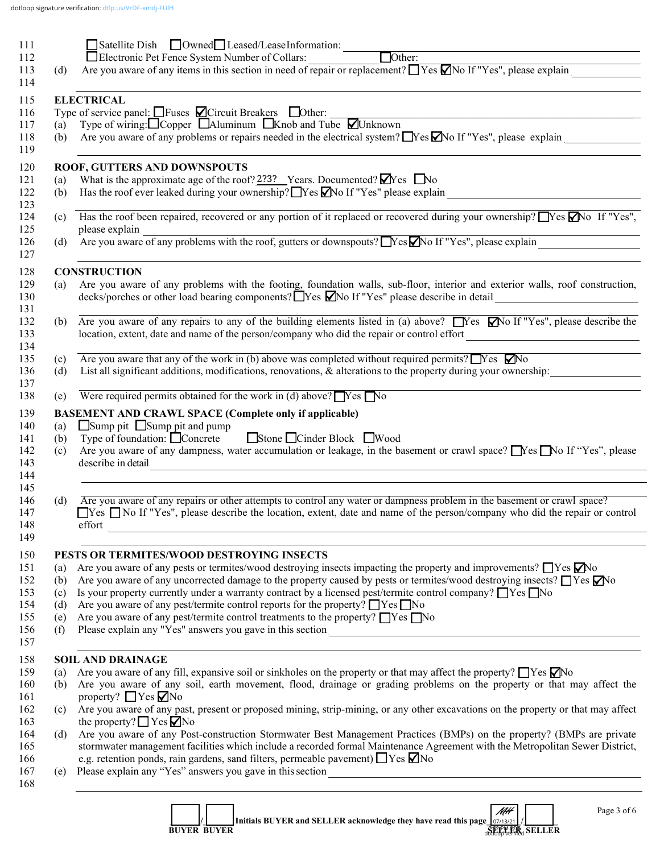|     | $\boxed{\qquad}$ Satellite Dish $\Box$ Owned $\Box$ Leased/LeaseInformation:                                                                                       |
|-----|--------------------------------------------------------------------------------------------------------------------------------------------------------------------|
|     |                                                                                                                                                                    |
| (d) | Are you aware of any items in this section in need of repair or replacement? $\Box$ Yes $\Box$ No If "Yes", please explain                                         |
|     |                                                                                                                                                                    |
|     | <b>ELECTRICAL</b>                                                                                                                                                  |
|     | Type of service panel: $\Box$ Fuses $\Box$ Circuit Breakers $\Box$ Other:<br>(a) Type of wiring: $\Box$ Copper $\Box$ Aluminum $\Box$ Knob and Tube $\Box$ Unknown |
|     |                                                                                                                                                                    |
| (b) | Are you aware of any problems or repairs needed in the electrical system? $\Box$ Yes $\Box$ No If "Yes", please explain                                            |
|     | ROOF, GUTTERS AND DOWNSPOUTS                                                                                                                                       |
| (a) | What is the approximate age of the roof? $2?3?$ Years. Documented? $\blacksquare$ Yes $\blacksquare$ No                                                            |
| (b) | Has the roof ever leaked during your ownership? Yes Mo If "Yes" please explain                                                                                     |
|     |                                                                                                                                                                    |
|     | (c) Has the roof been repaired, recovered or any portion of it replaced or recovered during your ownership? Yes No If "Yes",                                       |
|     | please explain<br>please explain<br>Are you aware of any problems with the roof, gutters or downspouts? No If "Yes", please explain                                |
| (d) |                                                                                                                                                                    |
|     | <b>CONSTRUCTION</b>                                                                                                                                                |
| (a) | Are you aware of any problems with the footing, foundation walls, sub-floor, interior and exterior walls, roof construction,                                       |
|     | decks/porches or other load bearing components? TYes Mo If "Yes" please describe in detail ___________________                                                     |
| (b) | Are you aware of any repairs to any of the building elements listed in (a) above? $\Box$ Yes $\Box$ No If "Yes", please describe the                               |
|     | location, extent, date and name of the person/company who did the repair or control effort                                                                         |
|     |                                                                                                                                                                    |
| (c) | Are you aware that any of the work in (b) above was completed without required permits? $\Box$ Yes $\Box$ No                                                       |
| (d) | List all significant additions, modifications, renovations, & alterations to the property during your ownership:                                                   |
| (e) | Were required permits obtained for the work in (d) above? $\Box$ Yes $\Box$ No                                                                                     |
|     | <b>BASEMENT AND CRAWL SPACE (Complete only if applicable)</b>                                                                                                      |
| (a) | $\Box$ Sump pit $\Box$ Sump pit and pump                                                                                                                           |
| (b) | Stone Cinder Block Wood<br>Type of foundation: □ Concrete                                                                                                          |
| (c) | Are you aware of any dampness, water accumulation or leakage, in the basement or crawl space? No If "Yes", please                                                  |
|     | describe in detail<br><u> 1980 - Johann Stein, marwolaethau a bhann an t-Amhair ann an t-Amhair an t-Amhair an t-Amhair an t-Amhair an</u>                         |
|     |                                                                                                                                                                    |
|     |                                                                                                                                                                    |
| (d) | Are you aware of any repairs or other attempts to control any water or dampness problem in the basement or crawl space?                                            |
|     | $\Box$ Yes $\Box$ No If "Yes", please describe the location, extent, date and name of the person/company who did the repair or control                             |
|     | effort                                                                                                                                                             |
|     | PESTS OR TERMITES/WOOD DESTROYING INSECTS                                                                                                                          |
| (a) | Are you aware of any pests or termites/wood destroying insects impacting the property and improvements? $\Box$ Yes $\Box$ No                                       |
| (b) | Are you aware of any uncorrected damage to the property caused by pests or termites/wood destroying insects? TYes Mo                                               |
| (c) | Is your property currently under a warranty contract by a licensed pest/termite control company? $\Box$ Yes $\Box$ No                                              |
| (d) | Are you aware of any pest/termite control reports for the property? $\Box$ Yes $\Box$ No                                                                           |
| (e) | Are you aware of any pest/termite control treatments to the property? $\Box$ Yes $\Box$ No                                                                         |
| (f) |                                                                                                                                                                    |
|     | <b>SOIL AND DRAINAGE</b>                                                                                                                                           |
| (a) | Are you aware of any fill, expansive soil or sinkholes on the property or that may affect the property? $\Box$ Yes $\Box$ No                                       |
| (b) | Are you aware of any soil, earth movement, flood, drainage or grading problems on the property or that may affect the                                              |
|     | property? $\Box$ Yes $\nabla$ No                                                                                                                                   |
| (c) | Are you aware of any past, present or proposed mining, strip-mining, or any other excavations on the property or that may affect                                   |
|     | the property? $\Box$ Yes $\Box$ No                                                                                                                                 |
| (d) | Are you aware of any Post-construction Stormwater Best Management Practices (BMPs) on the property? (BMPs are private                                              |
|     | stormwater management facilities which include a recorded formal Maintenance Agreement with the Metropolitan Sewer District,                                       |
|     | e.g. retention ponds, rain gardens, sand filters, permeable pavement) $\Box$ Yes $\nabla$ No                                                                       |
| (e) |                                                                                                                                                                    |
|     | and the control of the control of the control of the control of the control of the control of the control of the                                                   |
|     |                                                                                                                                                                    |
|     |                                                                                                                                                                    |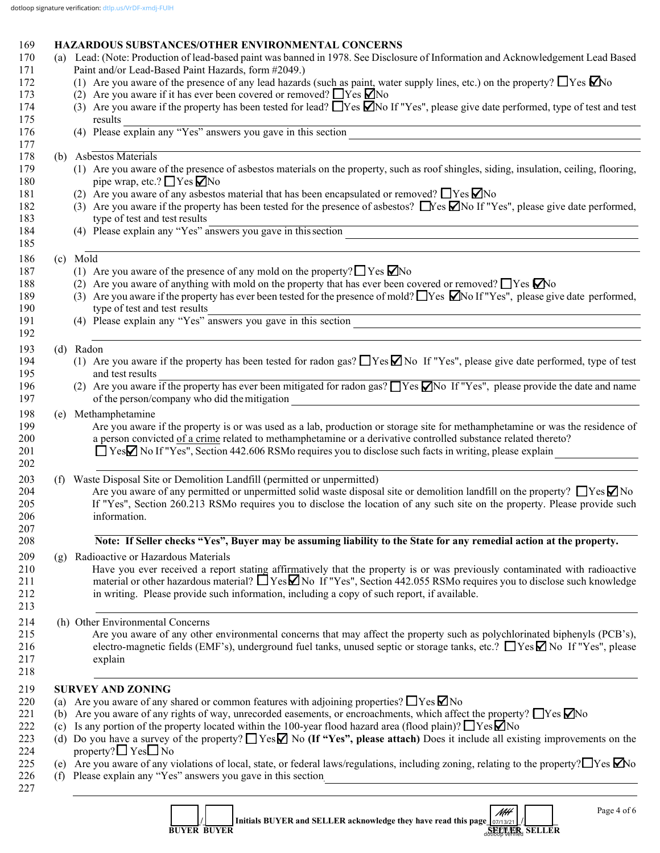### 169 **HAZARDOUS SUBSTANCES/OTHER ENVIRONMENTAL CONCERNS** 170 (a) Lead: (Note: Production of lead-based paint was banned in 1978. See Disclosure of Information and Acknowledgement Lead Based 171 Paint and/or Lead-Based Paint Hazards, form #2049.) 172 (1) Are you aware of the presence of any lead hazards (such as paint, water supply lines, etc.) on the property?  $\Box$  Yes  $\Box$  No 173 (2) Are you aware if it has ever been covered or removed?  $\Box$  Yes  $\Box$  No 174 (3) Are you aware if the property has been tested for lead?  $\Box$  Yes  $\Box$  No 174 (3) Are you aware if the property has been tested for lead?  $\Box$  Yes  $\Box$  No If "Yes", please give date performed, type of test and test results 175 results 176 (4) Please explain any "Yes" answers you gave in this section  $177$

# 178 (b) Asbestos Materials

- 179 (1) Are you aware of the presence of asbestos materials on the property, such as roof shingles, siding, insulation, ceiling, flooring, 180 pipe wrap, etc.?  $\Box$  Yes  $\Box$  No
- 181 (2) Are you aware of any asbestos material that has been encapsulated or removed?  $\Box$  Yes  $\Box$  No
- 182 (3) Are you aware if the property has been tested for the presence of asbestos?  $\Box$  Yes  $\Box$  No If "Yes", please give date performed, 183 type of test and test results

 $185$ 

 $192$ 

184 (4) Please explain any "Yes" answers you gave in this section

# 186 (c) Mold

- 187 (1) Are you aware of the presence of any mold on the property?  $\Box$  Yes  $\Box$  No
- 188 (2) Are you aware of anything with mold on the property that has ever been covered or removed?  $\Box$  Yes  $\Box$  No
- 189 (3) Are you aware if the property has ever been tested for the presence of mold?  $\Box$  Yes  $\Box$  No If "Yes", please give date performed, type of test and test results 190 type of test and test results  $\Box$
- 191 (4) Please explain any "Yes" answers you gave in this section

#### 193 (d) Radon

- 194 (1) Are you aware if the property has been tested for radon gas? TYes No If "Yes", please give date performed, type of test 195 and test results
- 196 (2) Are you aware if the property has ever been mitigated for radon gas?  $\Box$  Yes  $\Box$  No If "Yes", please provide the date and name 197 of the person/company who did the mitigation

# 198 (e) Methamphetamine<br>199 Are vou aware

- Are you aware if the property is or was used as a lab, production or storage site for methamphetamine or was the residence of 200 a person convicted of a crime related to methamphetamine or a derivative controlled substance related thereto?
- 201 **Solution 19 Set in Section 442.606 RSM** requires you to disclose such facts in writing, please explain  $202$

### 203 (f) Waste Disposal Site or Demolition Landfill (permitted or unpermitted)

204 Are you aware of any permitted or unpermitted solid waste disposal site or demolition landfill on the property?  $\Box$  Yes  $\Box$  No 205 If "Yes". Section 260.213 RSMo requires you to disclose the location of any such sit 205 If "Yes", Section 260.213 RSMo requires you to disclose the location of any such site on the property. Please provide such 206 information.

#### $207$ 208 **Note: If Seller checks "Yes", Buyer may be assuming liability to the State for any remedial action at the property.**

209 (g) Radioactive or Hazardous Materials

210 Have you ever received a report stating affirmatively that the property is or was previously contaminated with radioactive material or other hazardous material?  $\Box$  Yes  $\Box$  No If "Yes". Section 442.055 RSMo requires material or other hazardous material?  $\Box$  Yes  $\Box$  No If "Yes", Section 442.055 RSMo requires you to disclose such knowledge 212 in writing. Please provide such information, including a copy of such report, if available.

214 (h) Other Environmental Concerns

215 Are you aware of any other environmental concerns that may affect the property such as polychlorinated biphenyls (PCB's), 216 electro-magnetic fields (EMF's), underground fuel tanks, unused septic or storage tanks, etc.?  $\Box$  Yes  $\Box$  No If "Yes", please 217 explain

 $218$ 

 $213$ 

#### 219 **SURVEY AND ZONING**

- 220 (a) Are you aware of any shared or common features with adjoining properties?  $\Box$  Yes  $\Box$  No
- 221 (b) Are you aware of any rights of way, unrecorded easements, or encroachments, which affect the property?  $\Box$  Yes  $\nabla$  No
- 222 (c) Is any portion of the property located within the 100-year flood hazard area (flood plain)?  $\Box$  Yes  $\Box$  No
- 223 (d) Do you have a survey of the property? Yes **M** No (If "Yes", please attach) Does it include all existing improvements on the 224 property?  $\Box$  Yes  $\Box$  No<br>225 (e) Are you aware of any y
- (e) Are you aware of any violations of local, state, or federal laws/regulations, including zoning, relating to the property?  $\Box$  Yes  $\Box$  No
- 226 (f) Please explain any "Yes" answers you gave in this section  $\frac{227}{\sqrt{2}}$

 $-$ 



| Initials BUYER and SELLER acknowledge they have read this page $\vert_{07/13/21}$ /<br><b>BUYER BUYER</b> | MH<br>s 12 PM PPR<br>dottoop verried | . SELLER |  |
|-----------------------------------------------------------------------------------------------------------|--------------------------------------|----------|--|
|-----------------------------------------------------------------------------------------------------------|--------------------------------------|----------|--|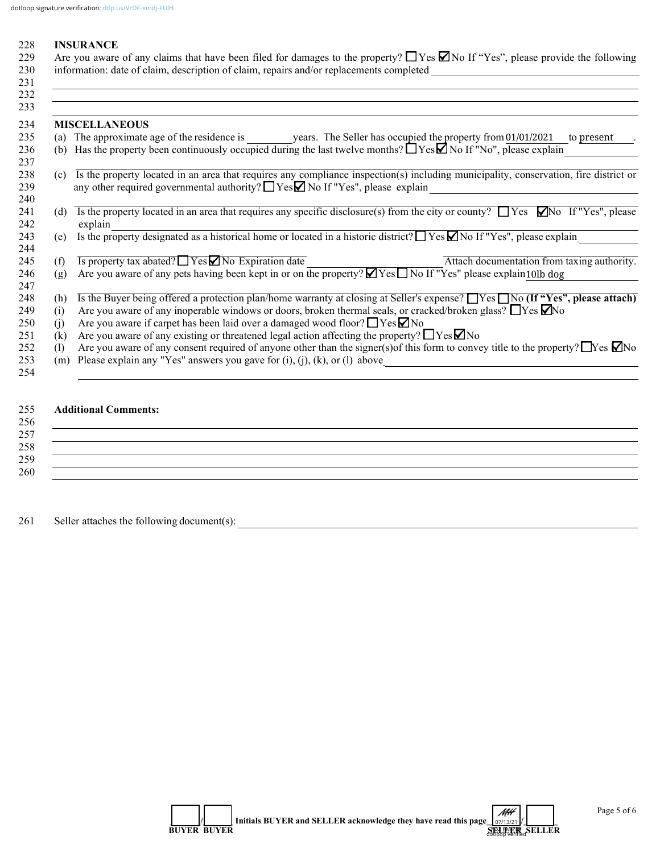#### 228 **INSURANCE**

| 229 Are you aware of any claims that have been filed for damages to the property? $\Box$ Yes $\Box$ No If "Yes", please provide the following |
|-----------------------------------------------------------------------------------------------------------------------------------------------|
| 230 information: date of claim, description of claim, repairs and/or replacements completed                                                   |

|     | <b>MISCELLANEOUS</b>                                                                                                                                                                                                             |
|-----|----------------------------------------------------------------------------------------------------------------------------------------------------------------------------------------------------------------------------------|
|     | (a) The approximate age of the residence is years. The Seller has occupied the property from 01/01/2021<br>to present                                                                                                            |
| (b) | Has the property been continuously occupied during the last twelve months? $\Box$ Yes $\Box$ No If "No", please explain                                                                                                          |
| (c) | Is the property located in an area that requires any compliance inspection(s) including municipality, conservation, fire district or<br>any other required governmental authority? $\Box$ Yes $\Box$ No If "Yes", please explain |
| (d) | Is the property located in an area that requires any specific disclosure(s) from the city or county? $\Box$ Yes $\Box$ No If "Yes", please<br>explain                                                                            |
| (e) | Is the property designated as a historical home or located in a historic district? $\Box$ Yes $\Box$ No If "Yes", please explain                                                                                                 |
| (f) | $\overline{Is$ property tax abated? $\Box$ Yes $\Box$ No Expiration date<br>Attach documentation from taxing authority.                                                                                                          |
| (g) | Are you aware of any pets having been kept in or on the property? $\Box$ Yes $\Box$ No If "Yes" please explain10lb dog                                                                                                           |
| (h) | Is the Buyer being offered a protection plan/home warranty at closing at Seller's expense? No $\Box$ Yes $\Box$ No $(\text{If "Yes"}$ , please attach)                                                                           |
| (i) | Are you aware of any inoperable windows or doors, broken thermal seals, or cracked/broken glass? $\Box$ Yes $\Box$ No                                                                                                            |
| (i) | Are you aware if carpet has been laid over a damaged wood floor? $\Box$ Yes $\nabla$ No                                                                                                                                          |
| (k) | Are you aware of any existing or threatened legal action affecting the property? $\Box$ Yes $\Box$ No                                                                                                                            |
| (1) | Are you aware of any consent required of anyone other than the signer(s) of this form to convey title to the property? $\Box$ Yes $\Box$ No                                                                                      |
| (m) | Please explain any "Yes" answers you gave for $(i)$ , $(j)$ , $(k)$ , or $(l)$ above                                                                                                                                             |

## 255 **Additional Comments:**

## $256$  $257$  $258$  $259$   $\overline{\phantom{a}}$ 260 \_\_\_\_\_\_\_\_\_\_\_\_\_\_\_\_\_\_\_\_\_\_\_\_\_\_\_\_\_\_\_\_\_\_\_\_\_\_\_\_\_\_\_\_\_\_\_\_\_\_\_\_\_\_\_\_\_\_\_\_\_\_\_\_\_\_\_\_\_\_\_\_\_\_\_\_\_\_\_\_\_\_\_\_\_\_\_\_\_\_\_\_\_\_\_\_\_\_\_\_\_\_\_\_\_\_\_\_

261 Seller attaches the following document(s): \_\_\_\_\_\_\_\_\_\_\_\_\_\_\_\_\_\_\_\_\_\_\_\_\_\_\_\_\_\_\_\_\_\_